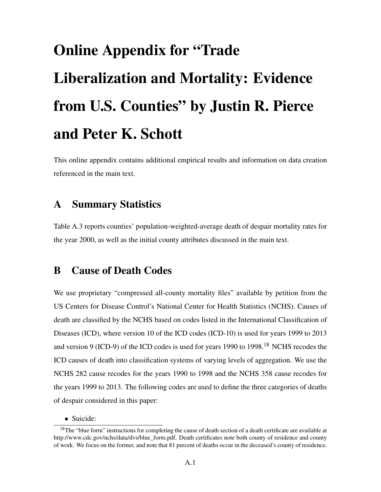# Online Appendix for "Trade Liberalization and Mortality: Evidence from U.S. Counties" by Justin R. Pierce and Peter K. Schott

This online appendix contains additional empirical results and information on data creation referenced in the main text.

## A Summary Statistics

Table [A.3](#page-16-0) reports counties' population-weighted-average death of despair mortality rates for the year 2000, as well as the initial county attributes discussed in the main text.

## B Cause of Death Codes

We use proprietary "compressed all-county mortality files" available by petition from the US Centers for Disease Control's National Center for Health Statistics (NCHS). Causes of death are classified by the NCHS based on codes listed in the International Classification of Diseases (ICD), where version 10 of the ICD codes (ICD-10) is used for years 1999 to 2013 and version 9 (ICD-9) of the ICD codes is used for years 1990 to 1998.[18](#page-0-0) NCHS recodes the ICD causes of death into classification systems of varying levels of aggregation. We use the NCHS 282 cause recodes for the years 1990 to 1998 and the NCHS 358 cause recodes for the years 1999 to 2013. The following codes are used to define the three categories of deaths of despair considered in this paper:

<span id="page-0-0"></span>• Suicide:

<sup>&</sup>lt;sup>18</sup>The "blue form" instructions for completing the cause of death section of a death certificate are available at [http://www.cdc.gov/nchs/data/dvs/blue\\_form.pdf.](http://www.cdc.gov/nchs/data/dvs/blue_form.pdf) Death certificates note both county of residence and county of work. We focus on the former, and note that 81 percent of deaths occur in the deceased's county of residence.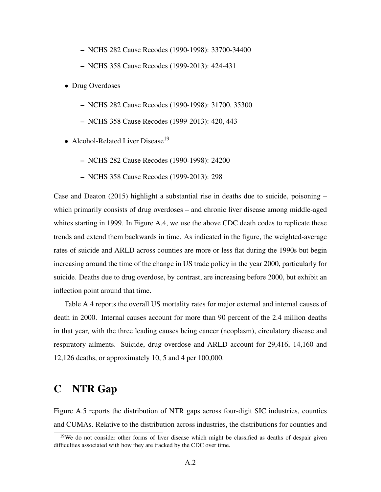- NCHS 282 Cause Recodes (1990-1998): 33700-34400
- NCHS 358 Cause Recodes (1999-2013): 424-431
- Drug Overdoses
	- NCHS 282 Cause Recodes (1990-1998): 31700, 35300
	- NCHS 358 Cause Recodes (1999-2013): 420, 443
- Alcohol-Related Liver Disease<sup>[19](#page-1-0)</sup>
	- NCHS 282 Cause Recodes (1990-1998): 24200
	- NCHS 358 Cause Recodes (1999-2013): 298

[Case and Deaton](#page--1-0) [\(2015\)](#page--1-0) highlight a substantial rise in deaths due to suicide, poisoning – which primarily consists of drug overdoses – and chronic liver disease among middle-aged whites starting in 1999. In Figure [A.4,](#page--1-1) we use the above CDC death codes to replicate these trends and extend them backwards in time. As indicated in the figure, the weighted-average rates of suicide and ARLD across counties are more or less flat during the 1990s but begin increasing around the time of the change in US trade policy in the year 2000, particularly for suicide. Deaths due to drug overdose, by contrast, are increasing before 2000, but exhibit an inflection point around that time.

Table [A.4](#page-17-0) reports the overall US mortality rates for major external and internal causes of death in 2000. Internal causes account for more than 90 percent of the 2.4 million deaths in that year, with the three leading causes being cancer (neoplasm), circulatory disease and respiratory ailments. Suicide, drug overdose and ARLD account for 29,416, 14,160 and 12,126 deaths, or approximately 10, 5 and 4 per 100,000.

## C NTR Gap

Figure [A.5](#page--1-2) reports the distribution of NTR gaps across four-digit SIC industries, counties and CUMAs. Relative to the distribution across industries, the distributions for counties and

<span id="page-1-0"></span><sup>&</sup>lt;sup>19</sup>We do not consider other forms of liver disease which might be classified as deaths of despair given difficulties associated with how they are tracked by the CDC over time.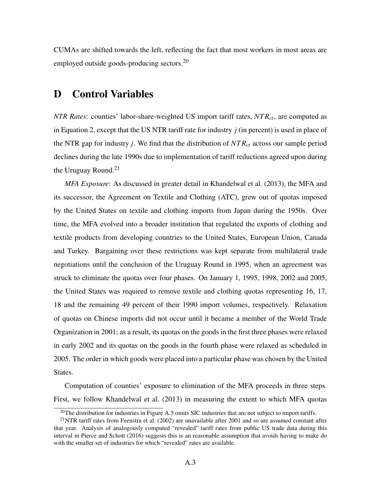CUMAs are shifted towards the left, reflecting the fact that most workers in most areas are employed outside goods-producing sectors.<sup>[20](#page-2-0)</sup>

## D Control Variables

*NTR Rates*: counties' labor-share-weighted US import tariff rates, *NT Rct*, are computed as in Equation [2,](#page--1-3) except that the US NTR tariff rate for industry *j* (in percent) is used in place of the NTR gap for industry *j*. We find that the distribution of *NT Rct* across our sample period declines during the late 1990s due to implementation of tariff reductions agreed upon during the Uruguay Round. $21$ 

*MFA Exposure*: As discussed in greater detail in [Khandelwal et al.](#page--1-4) [\(2013\)](#page--1-4), the MFA and its successor, the Agreement on Textile and Clothing (ATC), grew out of quotas imposed by the United States on textile and clothing imports from Japan during the 1950s. Over time, the MFA evolved into a broader institution that regulated the exports of clothing and textile products from developing countries to the United States, European Union, Canada and Turkey. Bargaining over these restrictions was kept separate from multilateral trade negotiations until the conclusion of the Uruguay Round in 1995, when an agreement was struck to eliminate the quotas over four phases. On January 1, 1995, 1998, 2002 and 2005, the United States was required to remove textile and clothing quotas representing 16, 17, 18 and the remaining 49 percent of their 1990 import volumes, respectively. Relaxation of quotas on Chinese imports did not occur until it became a member of the World Trade Organization in 2001; as a result, its quotas on the goods in the first three phases were relaxed in early 2002 and its quotas on the goods in the fourth phase were relaxed as scheduled in 2005. The order in which goods were placed into a particular phase was chosen by the United States.

Computation of counties' exposure to elimination of the MFA proceeds in three steps. First, we follow [Khandelwal et al.](#page--1-4) [\(2013\)](#page--1-4) in measuring the extent to which MFA quotas

<span id="page-2-1"></span><span id="page-2-0"></span> $20$ The distribution for industries in Figure [A.5](#page--1-2) omits SIC industries that are not subject to import tariffs.

 $^{21}$ NTR tariff rates from [Feenstra et al.](#page--1-5) [\(2002\)](#page--1-5) are unavailable after 2001 and so are assumed constant after that year. Analysis of analogously computed "revealed" tariff rates from public US trade data during this interval in [Pierce and Schott](#page--1-6) [\(2016\)](#page--1-6) suggests this is an reasonable assumption that avoids having to make do with the smaller set of industries for which "revealed" rates are available.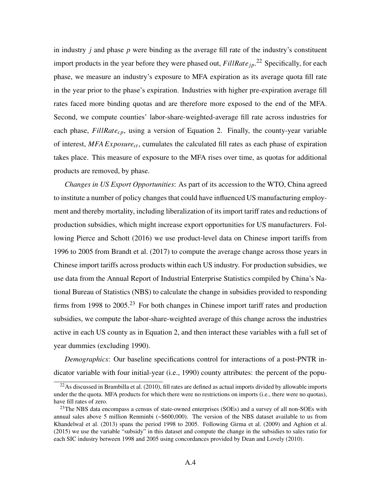in industry *j* and phase *p* were binding as the average fill rate of the industry's constituent import products in the year before they were phased out,  $FillRate_{jp}$ <sup>[22](#page-3-0)</sup> Specifically, for each phase, we measure an industry's exposure to MFA expiration as its average quota fill rate in the year prior to the phase's expiration. Industries with higher pre-expiration average fill rates faced more binding quotas and are therefore more exposed to the end of the MFA. Second, we compute counties' labor-share-weighted-average fill rate across industries for each phase, *FillRatecp*, using a version of Equation [2.](#page--1-3) Finally, the county-year variable of interest, *MFA Exposurect*, cumulates the calculated fill rates as each phase of expiration takes place. This measure of exposure to the MFA rises over time, as quotas for additional products are removed, by phase.

*Changes in US Export Opportunities*: As part of its accession to the WTO, China agreed to institute a number of policy changes that could have influenced US manufacturing employment and thereby mortality, including liberalization of its import tariff rates and reductions of production subsidies, which might increase export opportunities for US manufacturers. Following [Pierce and Schott](#page--1-6) [\(2016\)](#page--1-6) we use product-level data on Chinese import tariffs from 1996 to 2005 from [Brandt et al.](#page--1-7) [\(2017\)](#page--1-7) to compute the average change across those years in Chinese import tariffs across products within each US industry. For production subsidies, we use data from the Annual Report of Industrial Enterprise Statistics compiled by China's National Bureau of Statistics (NBS) to calculate the change in subsidies provided to responding firms from 1998 to  $2005<sup>23</sup>$  $2005<sup>23</sup>$  $2005<sup>23</sup>$  For both changes in Chinese import tariff rates and production subsidies, we compute the labor-share-weighted average of this change across the industries active in each US county as in Equation [2,](#page--1-3) and then interact these variables with a full set of year dummies (excluding 1990).

*Demographics*: Our baseline specifications control for interactions of a post-PNTR indicator variable with four initial-year (i.e., 1990) county attributes: the percent of the popu-

<span id="page-3-0"></span> $^{22}$ As discussed in [Brambilla et al.](#page--1-8) [\(2010\)](#page--1-8), fill rates are defined as actual imports divided by allowable imports under the the quota. MFA products for which there were no restrictions on imports (i.e., there were no quotas), have fill rates of zero.

<span id="page-3-1"></span> $23$ The NBS data encompass a census of state-owned enterprises (SOEs) and a survey of all non-SOEs with annual sales above 5 million Renminbi (~\$600,000). The version of the NBS dataset available to us from [Khandelwal et al.](#page--1-4) [\(2013\)](#page--1-4) spans the period 1998 to 2005. Following [Girma et al.](#page--1-9) [\(2009\)](#page--1-9) and [Aghion et al.](#page--1-10) [\(2015\)](#page--1-10) we use the variable "subsidy" in this dataset and compute the change in the subsidies to sales ratio for each SIC industry between 1998 and 2005 using concordances provided by [Dean and Lovely](#page--1-11) [\(2010\)](#page--1-11).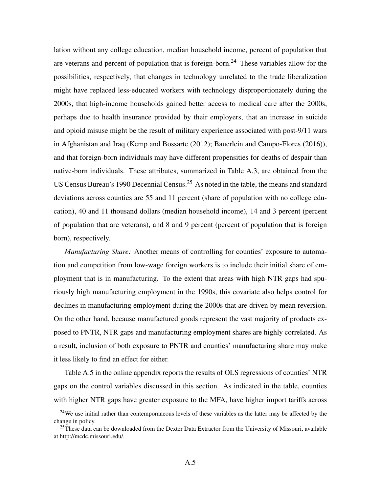lation without any college education, median household income, percent of population that are veterans and percent of population that is foreign-born.<sup>[24](#page-4-0)</sup> These variables allow for the possibilities, respectively, that changes in technology unrelated to the trade liberalization might have replaced less-educated workers with technology disproportionately during the 2000s, that high-income households gained better access to medical care after the 2000s, perhaps due to health insurance provided by their employers, that an increase in suicide and opioid misuse might be the result of military experience associated with post-9/11 wars in Afghanistan and Iraq [\(Kemp and Bossarte](#page--1-12) [\(2012\)](#page--1-12); [Bauerlein and Campo-Flores](#page--1-13) [\(2016\)](#page--1-13)), and that foreign-born individuals may have different propensities for deaths of despair than native-born individuals. These attributes, summarized in Table [A.3,](#page-16-0) are obtained from the US Census Bureau's 1990 Decennial Census.<sup>[25](#page-4-1)</sup> As noted in the table, the means and standard deviations across counties are 55 and 11 percent (share of population with no college education), 40 and 11 thousand dollars (median household income), 14 and 3 percent (percent of population that are veterans), and 8 and 9 percent (percent of population that is foreign born), respectively.

*Manufacturing Share:* Another means of controlling for counties' exposure to automation and competition from low-wage foreign workers is to include their initial share of employment that is in manufacturing. To the extent that areas with high NTR gaps had spuriously high manufacturing employment in the 1990s, this covariate also helps control for declines in manufacturing employment during the 2000s that are driven by mean reversion. On the other hand, because manufactured goods represent the vast majority of products exposed to PNTR, NTR gaps and manufacturing employment shares are highly correlated. As a result, inclusion of both exposure to PNTR and counties' manufacturing share may make it less likely to find an effect for either.

Table [A.5](#page-18-0) in the online appendix reports the results of OLS regressions of counties' NTR gaps on the control variables discussed in this section. As indicated in the table, counties with higher NTR gaps have greater exposure to the MFA, have higher import tariffs across

<span id="page-4-0"></span><sup>&</sup>lt;sup>24</sup>We use initial rather than contemporaneous levels of these variables as the latter may be affected by the change in policy.

<span id="page-4-1"></span><sup>&</sup>lt;sup>25</sup>These data can be downloaded from the Dexter Data Extractor from the University of Missouri, available at [http://mcdc.missouri.edu/.](http://mcdc.missouri.edu/)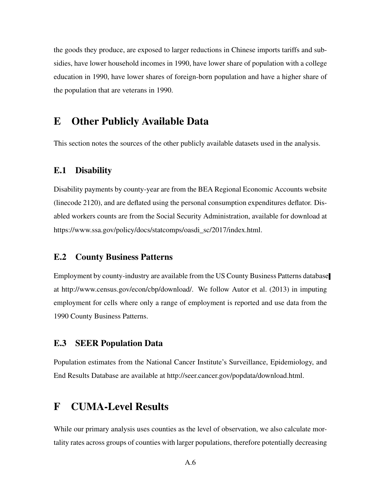the goods they produce, are exposed to larger reductions in Chinese imports tariffs and subsidies, have lower household incomes in 1990, have lower share of population with a college education in 1990, have lower shares of foreign-born population and have a higher share of the population that are veterans in 1990.

## E Other Publicly Available Data

This section notes the sources of the other publicly available datasets used in the analysis.

#### E.1 Disability

Disability payments by county-year are from the BEA Regional Economic Accounts website (linecode 2120), and are deflated using the personal consumption expenditures deflator. Disabled workers counts are from the Social Security Administration, available for download at [https://www.ssa.gov/policy/docs/statcomps/oasdi\\_sc/2017/index.html.](https://www.ssa.gov/policy/docs/statcomps/oasdi_sc/2017/index.html)

### E.2 County Business Patterns

Employment by county-industry are available from the US County Business Patterns database at [http://www.census.gov/econ/cbp/download/.](http://www.census.gov/econ/cbp/download/) We follow [Autor et al.](#page--1-14) [\(2013\)](#page--1-14) in imputing employment for cells where only a range of employment is reported and use data from the 1990 County Business Patterns.

#### E.3 SEER Population Data

Population estimates from the National Cancer Institute's Surveillance, Epidemiology, and End Results Database are available at [http://seer.cancer.gov/popdata/download.html.](http://seer.cancer.gov/popdata/download.html)

## F CUMA-Level Results

While our primary analysis uses counties as the level of observation, we also calculate mortality rates across groups of counties with larger populations, therefore potentially decreasing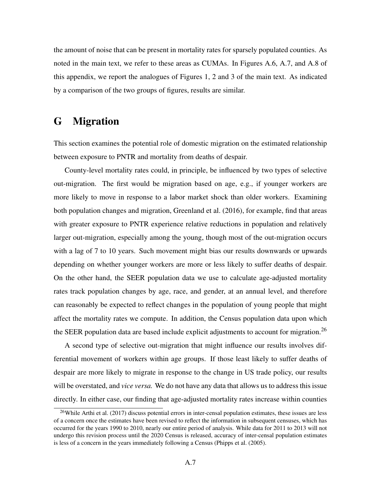the amount of noise that can be present in mortality rates for sparsely populated counties. As noted in the main text, we refer to these areas as CUMAs. In Figures [A.6,](#page-12-0) [A.7,](#page-13-0) and [A.8](#page-14-0) of this appendix, we report the analogues of Figures [1,](#page--1-15) [2](#page--1-16) and [3](#page--1-17) of the main text. As indicated by a comparison of the two groups of figures, results are similar.

## G Migration

This section examines the potential role of domestic migration on the estimated relationship between exposure to PNTR and mortality from deaths of despair.

County-level mortality rates could, in principle, be influenced by two types of selective out-migration. The first would be migration based on age, e.g., if younger workers are more likely to move in response to a labor market shock than older workers. Examining both population changes and migration, [Greenland et al.](#page--1-18) [\(2016\)](#page--1-18), for example, find that areas with greater exposure to PNTR experience relative reductions in population and relatively larger out-migration, especially among the young, though most of the out-migration occurs with a lag of 7 to 10 years. Such movement might bias our results downwards or upwards depending on whether younger workers are more or less likely to suffer deaths of despair. On the other hand, the SEER population data we use to calculate age-adjusted mortality rates track population changes by age, race, and gender, at an annual level, and therefore can reasonably be expected to reflect changes in the population of young people that might affect the mortality rates we compute. In addition, the Census population data upon which the SEER population data are based include explicit adjustments to account for migration.<sup>[26](#page-6-0)</sup>

A second type of selective out-migration that might influence our results involves differential movement of workers within age groups. If those least likely to suffer deaths of despair are more likely to migrate in response to the change in US trade policy, our results will be overstated, and *vice versa.* We do not have any data that allows us to address this issue directly. In either case, our finding that age-adjusted mortality rates increase within counties

<span id="page-6-0"></span><sup>&</sup>lt;sup>26</sup>While [Arthi et al.](#page--1-19) [\(2017\)](#page--1-19) discuss potential errors in inter-censal population estimates, these issues are less of a concern once the estimates have been revised to reflect the information in subsequent censuses, which has occurred for the years 1990 to 2010, nearly our entire period of analysis. While data for 2011 to 2013 will not undergo this revision process until the 2020 Census is released, accuracy of inter-censal population estimates is less of a concern in the years immediately following a Census [\(Phipps et al.](#page--1-11) [\(2005\)](#page--1-11).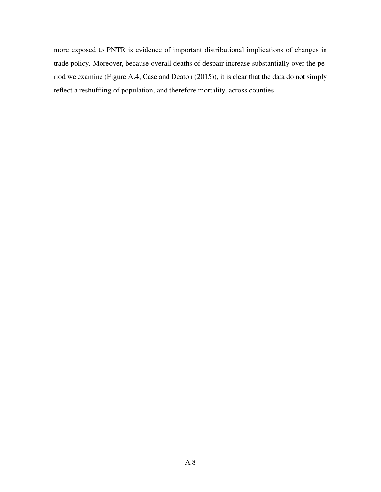more exposed to PNTR is evidence of important distributional implications of changes in trade policy. Moreover, because overall deaths of despair increase substantially over the period we examine (Figure [A.4;](#page--1-1) [Case and Deaton](#page--1-0) [\(2015\)](#page--1-0)), it is clear that the data do not simply reflect a reshuffling of population, and therefore mortality, across counties.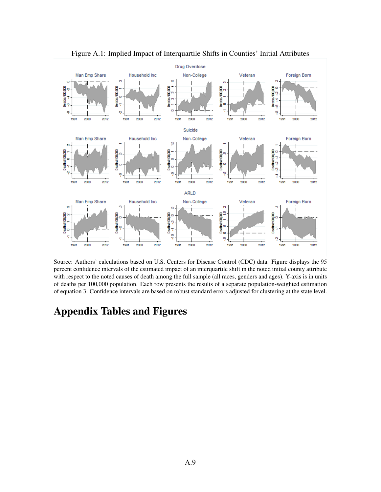

Figure A.1: Implied Impact of Interquartile Shifts in Counties' Initial Attributes

Source: Authors' calculations based on U.S. Centers for Disease Control (CDC) data. Figure displays the 95 percent confidence intervals of the estimated impact of an interquartile shift in the noted initial county attribute with respect to the noted causes of death among the full sample (all races, genders and ages). Y-axis is in units of deaths per 100,000 population. Each row presents the results of a separate population-weighted estimation of equation 3. Confidence intervals are based on robust standard errors adjusted for clustering at the state level.

## Appendix Tables and Figures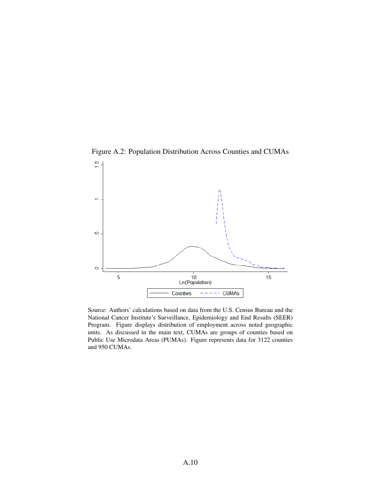

Figure A.2: Population Distribution Across Counties and CUMAs

Source: Authors' calculations based on data from the U.S. Census Bureau and the National Cancer Institute's Surveillance, Epidemiology and End Results (SEER) Program. Figure displays distribution of employment across noted geographic units. As discussed in the main text, CUMAs are groups of counties based on Public Use Microdata Areas (PUMAs). Figure represents data for 3122 counties and 950 CUMAs.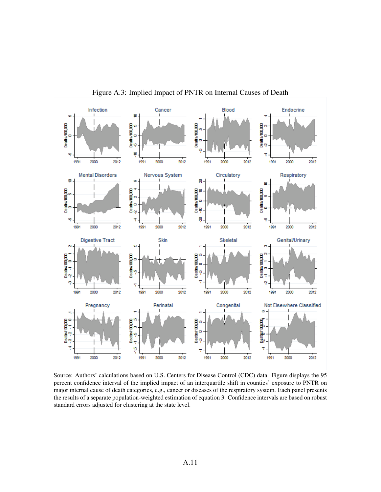

Figure A.3: Implied Impact of PNTR on Internal Causes of Death

Source: Authors' calculations based on U.S. Centers for Disease Control (CDC) data. Figure displays the 95 percent confidence interval of the implied impact of an interquartile shift in counties' exposure to PNTR on major internal cause of death categories, e.g., cancer or diseases of the respiratory system. Each panel presents the results of a separate population-weighted estimation of equation 3. Confidence intervals are based on robust standard errors adjusted for clustering at the state level.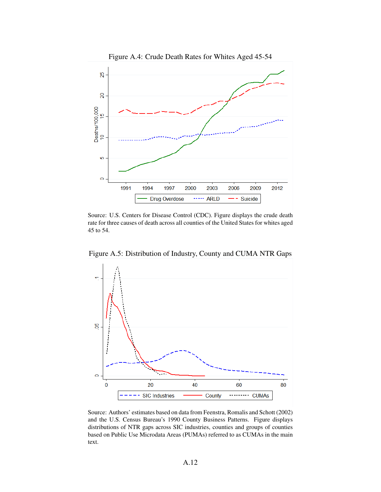

Figure A.4: Crude Death Rates for Whites Aged 45-54

Source: U.S. Centers for Disease Control (CDC). Figure displays the crude death rate for three causes of death across all counties of the United States for whites aged 45 to 54.



Figure A.5: Distribution of Industry, County and CUMA NTR Gaps

Source: Authors' estimates based on data from Feenstra, Romalis and Schott (2002) and the U.S. Census Bureau's 1990 County Business Patterns. Figure displays distributions of NTR gaps across SIC industries, counties and groups of counties based on Public Use Microdata Areas (PUMAs) referred to as CUMAs in the main text.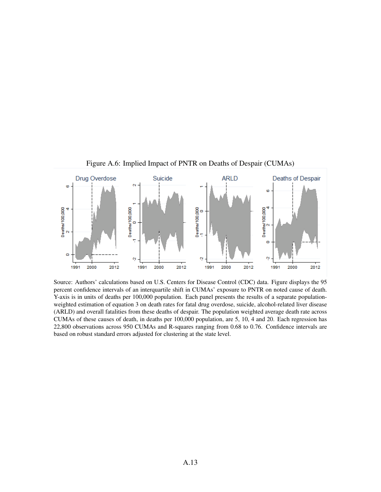

<span id="page-12-0"></span>Figure A.6: Implied Impact of PNTR on Deaths of Despair (CUMAs)

Source: Authors' calculations based on U.S. Centers for Disease Control (CDC) data. Figure displays the 95 percent confidence intervals of an interquartile shift in CUMAs' exposure to PNTR on noted cause of death. Y-axis is in units of deaths per 100,000 population. Each panel presents the results of a separate populationweighted estimation of equation 3 on death rates for fatal drug overdose, suicide, alcohol-related liver disease (ARLD) and overall fatalities from these deaths of despair. The population weighted average death rate across CUMAs of these causes of death, in deaths per 100,000 population, are 5, 10, 4 and 20. Each regression has 22,800 observations across 950 CUMAs and R-squares ranging from 0.68 to 0.76. Confidence intervals are based on robust standard errors adjusted for clustering at the state level.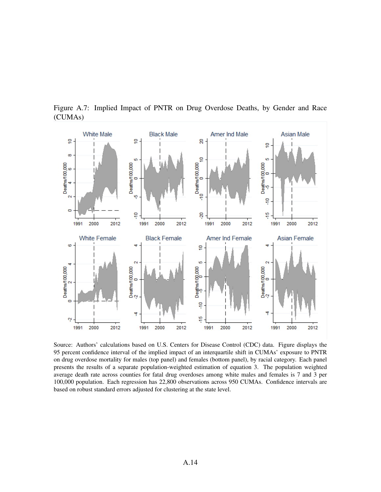

<span id="page-13-0"></span>Figure A.7: Implied Impact of PNTR on Drug Overdose Deaths, by Gender and Race (CUMAs)

Source: Authors' calculations based on U.S. Centers for Disease Control (CDC) data. Figure displays the 95 percent confidence interval of the implied impact of an interquartile shift in CUMAs' exposure to PNTR on drug overdose mortality for males (top panel) and females (bottom panel), by racial category. Each panel presents the results of a separate population-weighted estimation of equation 3. The population weighted average death rate across counties for fatal drug overdoses among white males and females is 7 and 3 per 100,000 population. Each regression has 22,800 observations across 950 CUMAs. Confidence intervals are based on robust standard errors adjusted for clustering at the state level.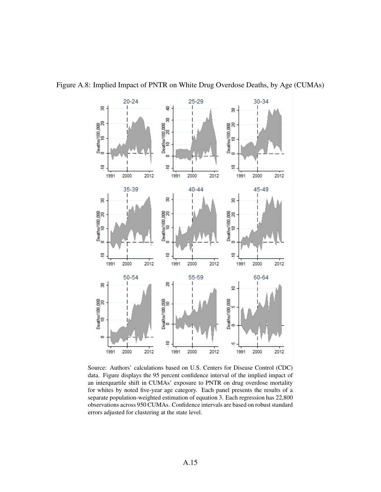<span id="page-14-0"></span>

Figure A.8: Implied Impact of PNTR on White Drug Overdose Deaths, by Age (CUMAs)

Source: Authors' calculations based on U.S. Centers for Disease Control (CDC) data. Figure displays the 95 percent confidence interval of the implied impact of an interquartile shift in CUMAs' exposure to PNTR on drug overdose mortality for whites by noted five-year age category. Each panel presents the results of a separate population-weighted estimation of equation 3. Each regression has 22,800 observations across 950 CUMAs. Confidence intervals are based on robust standard errors adjusted for clustering at the state level.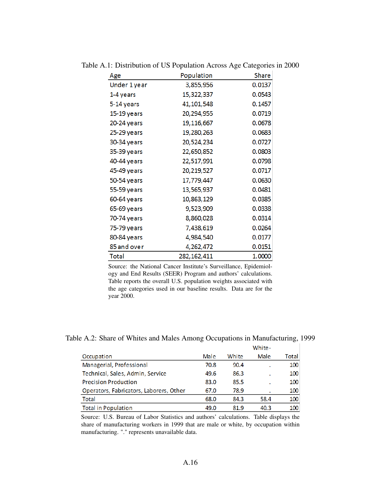| Age          | Population    | Share  |
|--------------|---------------|--------|
| Under 1 year | 3,855,956     | 0.0137 |
| 1-4 years    | 15,322,337    | 0.0543 |
| 5-14 years   | 41, 101, 548  | 0.1457 |
| 15-19 years  | 20,294,955    | 0.0719 |
| 20-24 years  | 19,116,667    | 0.0678 |
| 25-29 years  | 19,280,263    | 0.0683 |
| 30-34 years  | 20,524,234    | 0.0727 |
| 35-39 years  | 22,650,852    | 0.0803 |
| 40-44 years  | 22,517,991    | 0.0798 |
| 45-49 years  | 20,219,527    | 0.0717 |
| 50-54 years  | 17,779,447    | 0.0630 |
| 55-59 years  | 13,565,937    | 0.0481 |
| 60-64 years  | 10,863,129    | 0.0385 |
| 65-69 years  | 9,523,909     | 0.0338 |
| 70-74 years  | 8,860,028     | 0.0314 |
| 75-79 years  | 7,438,619     | 0.0264 |
| 80-84 years  | 4,984,540     | 0.0177 |
| 85 and over  | 4,262,472     | 0.0151 |
| Total        | 282, 162, 411 | 1.0000 |

Table A.1: Distribution of US Population Across Age Categories in 2000

Source: the National Cancer Institute's Surveillance, Epidemiology and End Results (SEER) Program and authors' calculations. Table reports the overall U.S. population weights associated with the age categories used in our baseline results. Data are for the year 2000.

Table A.2: Share of Whites and Males Among Occupations in Manufacturing, 1999

|                                         |      |       | White- |       |
|-----------------------------------------|------|-------|--------|-------|
| Occupation                              | Male | White | Male   | Total |
| Managerial, Professional                | 70.8 | 90.4  |        | 100   |
| Technical, Sales, Admin, Service        | 49.6 | 86.3  |        | 100   |
| <b>Precision Production</b>             | 83.0 | 85.5  |        | 100   |
| Operators, Fabricators, Laborers, Other | 67.0 | 78.9  |        | 100   |
| <b>Total</b>                            | 68.0 | 84.3  | 58.4   | 100   |
| <b>Total in Population</b>              | 49.0 | 81.9  | 40.3   | 100   |

Source: U.S. Bureau of Labor Statistics and authors' calculations. Table displays the share of manufacturing workers in 1999 that are male or white, by occupation within manufacturing. "." represents unavailable data.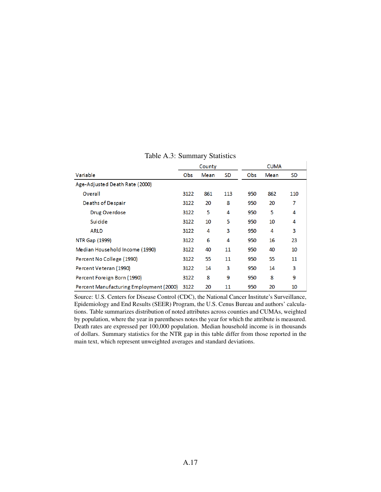|                                         |      | County |           |     | <b>CUMA</b> |           |
|-----------------------------------------|------|--------|-----------|-----|-------------|-----------|
| Variable                                | Obs. | Mean   | <b>SD</b> | Obs | Mean        | <b>SD</b> |
| Age-Adjusted Death Rate (2000)          |      |        |           |     |             |           |
| Overall                                 | 3122 | 861    | 113       | 950 | 862         | 110       |
| Deaths of Despair                       | 3122 | 20     | 8         | 950 | 20          | 7         |
| Drug Overdose                           | 3122 | 5      | 4         | 950 | 5           | 4         |
| Suicide                                 | 3122 | 10     | 5         | 950 | 10          | 4         |
| <b>ARLD</b>                             | 3122 | 4      | 3         | 950 | 4           | 3         |
| NTR Gap (1999)                          | 3122 | 6      | 4         | 950 | 16          | 23        |
| Median Household Income (1990)          | 3122 | 40     | 11        | 950 | 40          | 10        |
| Percent No College (1990)               | 3122 | 55     | 11        | 950 | 55          | 11        |
| Percent Veteran (1990)                  | 3122 | 14     | 3         | 950 | 14          | 3         |
| Percent Foreign Born (1990)             | 3122 | 8      | 9         | 950 | 8           | 9         |
| Percent Manufacturing Employment (2000) | 3122 | 20     | 11        | 950 | 20          | 10        |

<span id="page-16-0"></span>Table A.3: Summary Statistics

Source: U.S. Centers for Disease Control (CDC), the National Cancer Institute's Surveillance, Epidemiology and End Results (SEER) Program, the U.S. Cenus Bureau and authors' calculations. Table summarizes distribution of noted attributes across counties and CUMAs, weighted by population, where the year in parentheses notes the year for which the attribute is measured. Death rates are expressed per 100,000 population. Median household income is in thousands of dollars. Summary statistics for the NTR gap in this table differ from those reported in the main text, which represent unweighted averages and standard deviations.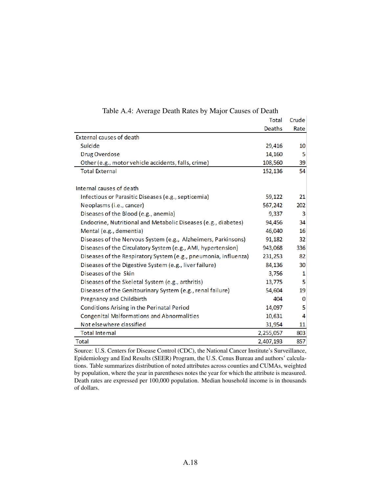|                                                                 | <b>Total</b> | Crude       |
|-----------------------------------------------------------------|--------------|-------------|
|                                                                 | Deaths       | Rate        |
| External causes of death                                        |              |             |
| <b>Suicide</b>                                                  | 29,416       | 10          |
| <b>Drug Overdose</b>                                            | 14,160       | 5           |
| Other (e.g., motor vehicle accidents, falls, crime)             | 108,560      | 39          |
| <b>Total External</b>                                           | 152,136      | 54          |
|                                                                 |              |             |
| Internal causes of death                                        |              |             |
| Infectious or Parasitic Diseases (e.g., septicemia)             | 59,122       | 21          |
| Neoplasms (i.e., cancer)                                        | 567,242      | 202         |
| Diseases of the Blood (e.g., anemia)                            | 9,337        | 3           |
| Endocrine, Nutritional and Metabolic Diseases (e.g., diabetes)  | 94,456       | 34          |
| Mental (e.g., dementia)                                         | 46,040       | 16          |
| Diseases of the Nervous System (e.g., Alzheimers, Parkinsons)   | 91,182       | 32          |
| Diseases of the Circulatory System (e.g., AMI, hypertension)    | 943,068      | 336         |
| Diseases of the Respiratory System (e.g., pneumonia, influenza) | 231,253      | 82          |
| Diseases of the Digestive System (e.g., liver failure)          | 84,136       | 30          |
| Diseases of the Skin                                            | 3,756        | 1           |
| Diseases of the Skeletal System (e.g., arthritis)               | 13,775       | 5           |
| Diseases of the Genitourinary System (e.g., renal failure)      | 54,604       | 19          |
| Pregnancy and Childbirth                                        | 404          | $\mathbf 0$ |
| Conditions Arising in the Perinatal Period                      | 14,097       | 5           |
| <b>Congenital Malformations and Abnormalities</b>               | 10,631       | 4           |
| Not elsewhere classified                                        | 31,954       | 11          |
| <b>Total Internal</b>                                           | 2,255,057    | 803         |
| Total                                                           | 2,407,193    | 857         |

<span id="page-17-0"></span>Table A.4: Average Death Rates by Major Causes of Death

Source: U.S. Centers for Disease Control (CDC), the National Cancer Institute's Surveillance, Epidemiology and End Results (SEER) Program, the U.S. Cenus Bureau and authors' calculations. Table summarizes distribution of noted attributes across counties and CUMAs, weighted by population, where the year in parentheses notes the year for which the attribute is measured. Death rates are expressed per 100,000 population. Median household income is in thousands of dollars.